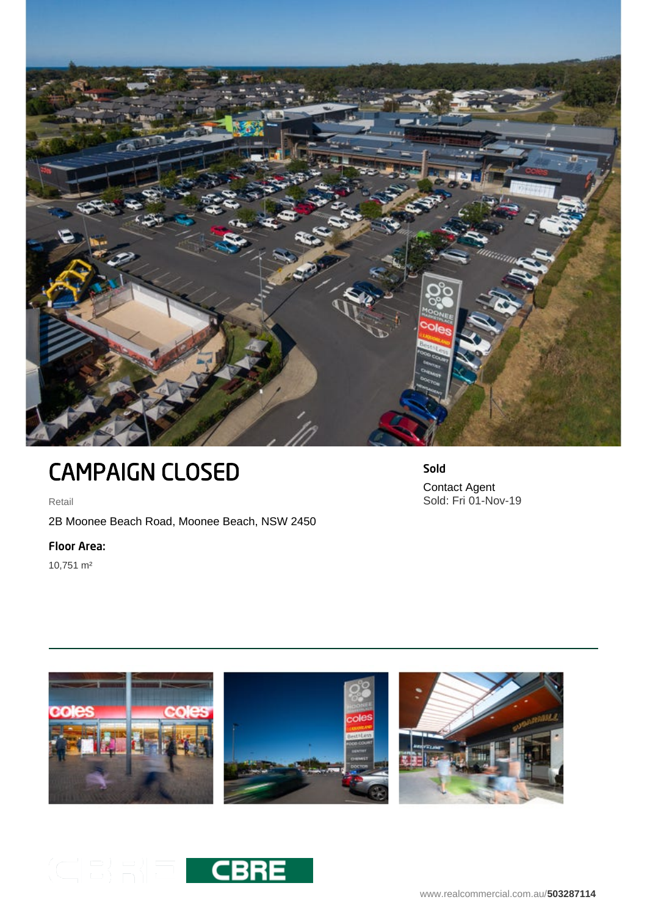

## CAMPAIGN CLOSED

Retail

2B Moonee Beach Road, Moonee Beach, NSW 2450

Floor Area:

10,751 m²

Sold Contact Agent Sold: Fri 01-Nov-19